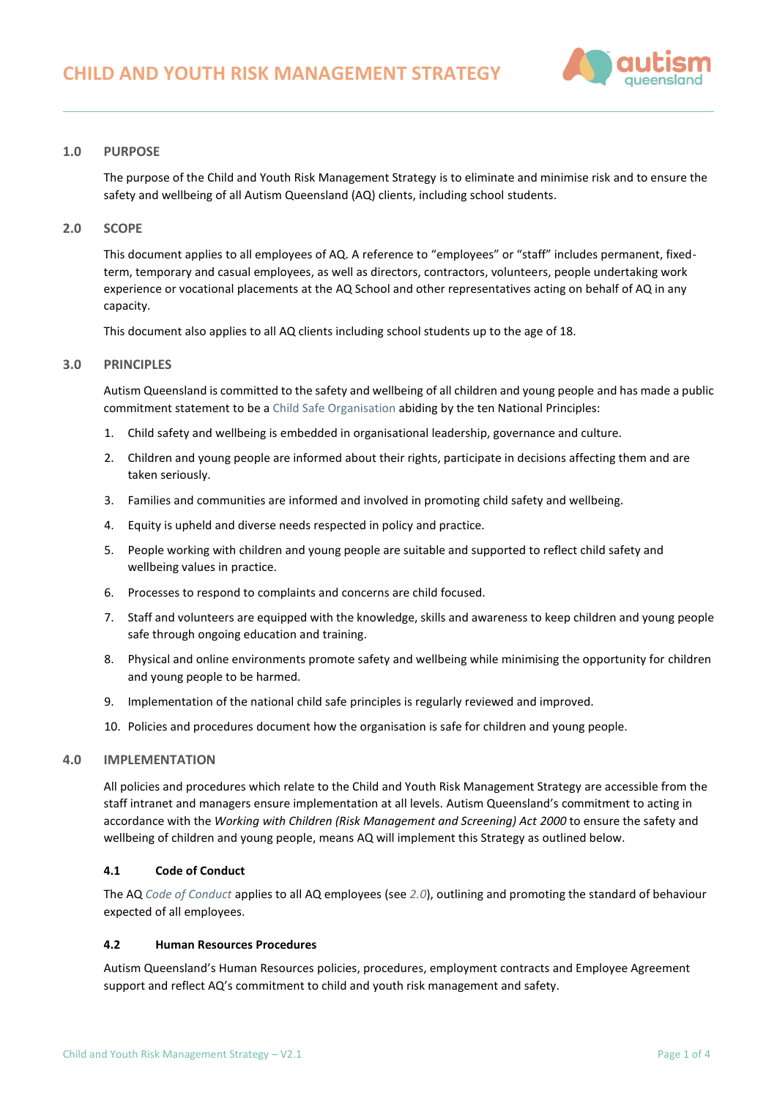

# **1.0 PURPOSE**

The purpose of the Child and Youth Risk Management Strategy is to eliminate and minimise risk and to ensure the safety and wellbeing of all Autism Queensland (AQ) clients, including school students.

### <span id="page-0-0"></span>**2.0 SCOPE**

This document applies to all employees of AQ. A reference to "employees" or "staff" includes permanent, fixedterm, temporary and casual employees, as well as directors, contractors, volunteers, people undertaking work experience or vocational placements at the AQ School and other representatives acting on behalf of AQ in any capacity.

This document also applies to all AQ clients including school students up to the age of 18.

### **3.0 PRINCIPLES**

Autism Queensland is committed to the safety and wellbeing of all children and young people and has made a public commitment statement to be a [Child Safe Organisation](https://autismqld.com.au/about-us/our-commitment-to-child-safety/) abiding by the ten National Principles:

- 1. Child safety and wellbeing is embedded in organisational leadership, governance and culture.
- 2. Children and young people are informed about their rights, participate in decisions affecting them and are taken seriously.
- 3. Families and communities are informed and involved in promoting child safety and wellbeing.
- 4. Equity is upheld and diverse needs respected in policy and practice.
- 5. People working with children and young people are suitable and supported to reflect child safety and wellbeing values in practice.
- 6. Processes to respond to complaints and concerns are child focused.
- 7. Staff and volunteers are equipped with the knowledge, skills and awareness to keep children and young people safe through ongoing education and training.
- 8. Physical and online environments promote safety and wellbeing while minimising the opportunity for children and young people to be harmed.
- 9. Implementation of the national child safe principles is regularly reviewed and improved.
- 10. Policies and procedures document how the organisation is safe for children and young people.

# **4.0 IMPLEMENTATION**

All policies and procedures which relate to the Child and Youth Risk Management Strategy are accessible from the staff intranet and managers ensure implementation at all levels. Autism Queensland's commitment to acting in accordance with the *Working with Children (Risk Management and Screening) Act 2000* to ensure the safety and wellbeing of children and young people, means AQ will implement this Strategy as outlined below.

#### **4.1 Code of Conduct**

The AQ *[Code of Conduct](https://autismqueenslandlimited.sharepoint.com/sites/AQQADocuments/All%20Documents/Code%20of%20Conduct.pdf)* applies to all AQ employees (see *[2.0](#page-0-0)*), outlining and promoting the standard of behaviour expected of all employees.

#### **4.2 Human Resources Procedures**

Autism Queensland's Human Resources policies, procedures, employment contracts and Employee Agreement support and reflect AQ's commitment to child and youth risk management and safety.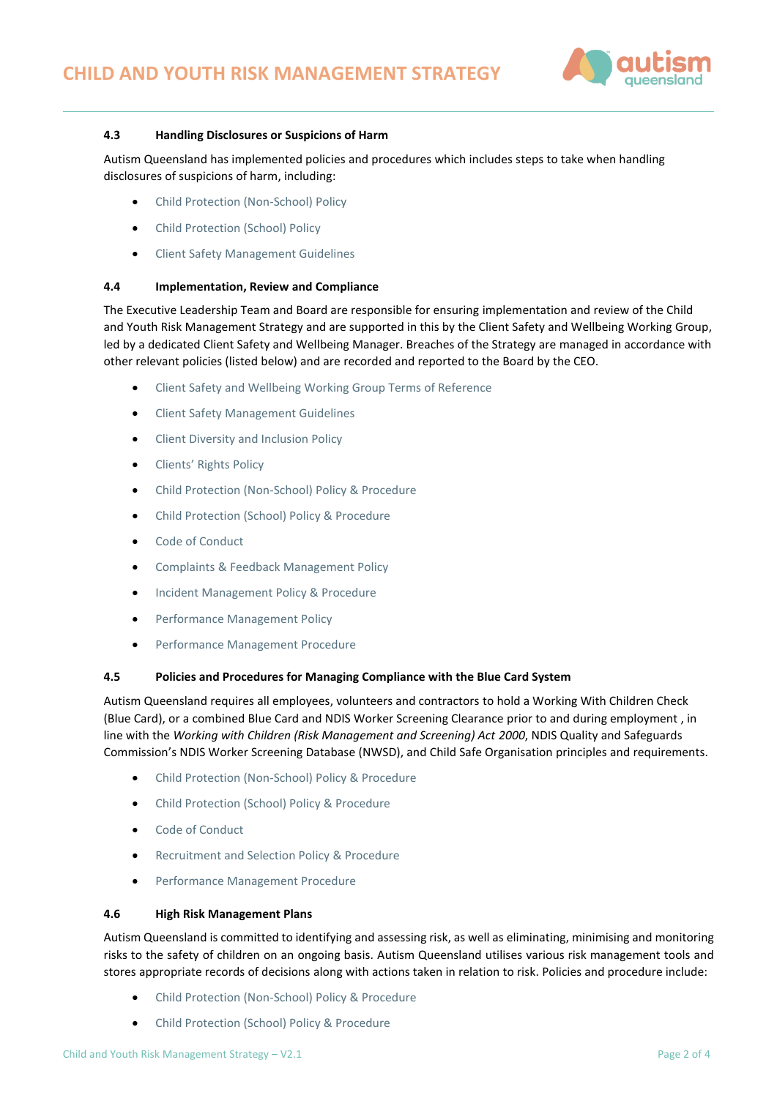

# **4.3 Handling Disclosures or Suspicions of Harm**

Autism Queensland has implemented policies and procedures which includes steps to take when handling disclosures of suspicions of harm, including:

- [Child Protection \(Non-School\) Policy](https://autismqueenslandlimited.sharepoint.com/:b:/r/sites/AQQADocuments/All%20Documents/Child%20Protection%20(Non-School)%20Policy%20%26%20Procedure.pdf?csf=1&web=1&e=zHdPmB)
- [Child Protection \(School\) Policy](https://autismqueenslandlimited.sharepoint.com/:b:/r/sites/AQQADocuments/All%20Documents/Child%20Protection%20(School)%20Policy%20%26%20Procedure.pdf?csf=1&web=1&e=R3K0HR)
- [Client Safety Management Guidelines](https://autismqueenslandlimited.sharepoint.com/sites/AQQADocuments/All%20Documents/Client%20Safety%20Management%20Guidelines.pdf)

## **4.4 Implementation, Review and Compliance**

The Executive Leadership Team and Board are responsible for ensuring implementation and review of the Child and Youth Risk Management Strategy and are supported in this by the Client Safety and Wellbeing Working Group, led by a dedicated Client Safety and Wellbeing Manager. Breaches of the Strategy are managed in accordance with other relevant policies (listed below) and are recorded and reported to the Board by the CEO.

- [Client Safety and Wellbeing Working Group Terms of Reference](https://autismqueenslandlimited.sharepoint.com/sites/AQQADocuments/All%20Documents/Client%20Safety%20and%20Wellbeing%20Working%20Group%20Terms%20of%20Reference.pdf)
- [Client Safety Management Guidelines](https://autismqueenslandlimited.sharepoint.com/sites/AQQADocuments/All%20Documents/Client%20Safety%20Management%20Guidelines.pdf)
- [Client Diversity and Inclusion Policy](https://autismqueenslandlimited.sharepoint.com/sites/AQQADocuments/All%20Documents/Client%20Diversity%20and%20Inclusion%20Policy.pdf)
- [Clients' Rights](https://autismqueenslandlimited.sharepoint.com/sites/AQQADocuments/All%20Documents/Clients) Policy
- [Child Protection \(Non-School\) Policy & Procedure](https://autismqueenslandlimited.sharepoint.com/:b:/r/sites/AQQADocuments/All%20Documents/Child%20Protection%20(Non-School)%20Policy%20%26%20Procedure.pdf)
- [Child Protection \(School\) Policy & Procedure](https://autismqueenslandlimited.sharepoint.com/:b:/r/sites/AQQADocuments/All%20Documents/Child%20Protection%20(School)%20Policy%20%26%20Procedure.pdf)
- [Code of Conduct](https://autismqueenslandlimited.sharepoint.com/sites/AQQADocuments/All%20Documents/Code%20of%20Conduct.pdf)
- [Complaints & Feedback Management Policy](https://autismqueenslandlimited.sharepoint.com/sites/AQQADocuments/All%20Documents/Complaints%20Management%20Policy.pdf)
- [Incident Management Policy & Procedure](https://autismqueenslandlimited.sharepoint.com/sites/AQQADocuments/All%20Documents/Incident%20Management%20Policy%20&%20Procedure.pdf)
- [Performance Management Policy](https://autismqueenslandlimited.sharepoint.com/:b:/r/sites/AQQADocuments/All%20Documents/Performance%20Management%20Policy.pdf?csf=1&web=1&e=VLUwq7)
- [Performance Management Procedure](https://autismqueenslandlimited.sharepoint.com/sites/AQQADocuments/All%20Documents/Performance%20Management%20Policy.pdf)

## **4.5 Policies and Procedures for Managing Compliance with the Blue Card System**

Autism Queensland requires all employees, volunteers and contractors to hold a Working With Children Check (Blue Card), or a combined Blue Card and NDIS Worker Screening Clearance prior to and during employment , in line with the *Working with Children (Risk Management and Screening) Act 2000*, NDIS Quality and Safeguards Commission's NDIS Worker Screening Database (NWSD), and Child Safe Organisation principles and requirements.

- [Child Protection \(Non-School\) Policy & Procedure](https://autismqueenslandlimited.sharepoint.com/:b:/r/sites/AQQADocuments/All%20Documents/Child%20Protection%20(Non-School)%20Policy%20%26%20Procedure.pdf?csf=1&web=1&e=zHdPmB)
- [Child Protection \(School\) Policy & Procedure](https://autismqueenslandlimited.sharepoint.com/:b:/r/sites/AQQADocuments/All%20Documents/Child%20Protection%20(School)%20Policy%20%26%20Procedure.pdf?csf=1&web=1&e=R3K0HR)
- [Code of Conduct](https://autismqueenslandlimited.sharepoint.com/sites/AQQADocuments/All%20Documents/Code%20of%20Conduct.pdf)
- [Recruitment and Selection Policy](https://autismqueenslandlimited.sharepoint.com/sites/AQQADocuments/All%20Documents/Recruitment%20and%20Selection%20Policy%20&%20Procedure.pdf) & Procedure
- [Performance Management Procedure](https://autismqueenslandlimited.sharepoint.com/sites/AQQADocuments/All%20Documents/Performance%20Management%20Policy.pdf)

## **4.6 High Risk Management Plans**

Autism Queensland is committed to identifying and assessing risk, as well as eliminating, minimising and monitoring risks to the safety of children on an ongoing basis. Autism Queensland utilises various risk management tools and stores appropriate records of decisions along with actions taken in relation to risk. Policies and procedure include:

- [Child Protection \(Non-School\) Policy & Procedure](https://autismqueenslandlimited.sharepoint.com/:b:/r/sites/AQQADocuments/All%20Documents/Child%20Protection%20(Non-School)%20Policy%20%26%20Procedure.pdf)
- [Child Protection \(School\) Policy & Procedure](https://autismqueenslandlimited.sharepoint.com/:b:/r/sites/AQQADocuments/All%20Documents/Child%20Protection%20(School)%20Policy%20%26%20Procedure.pdf)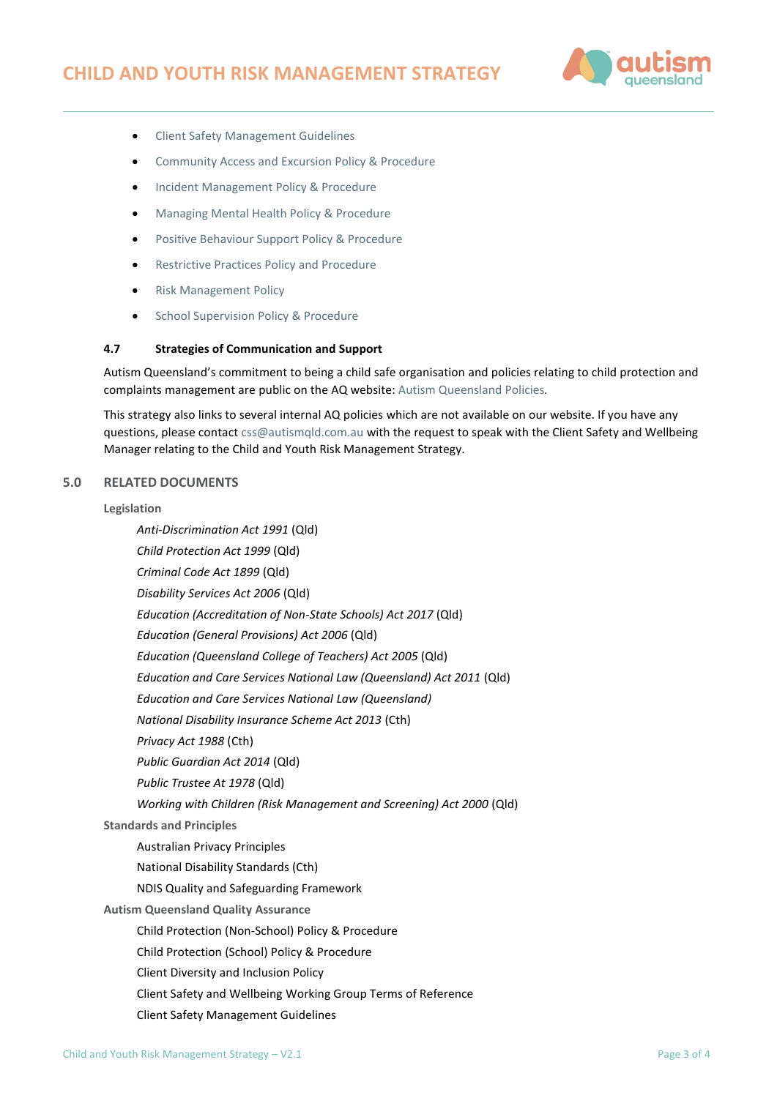

- [Client Safety Management Guidelines](https://autismqueenslandlimited.sharepoint.com/sites/AQQADocuments/All%20Documents/Client%20Safety%20Management%20Guidelines.pdf)
- [Community Access and Excursion Policy & Procedure](https://autismqueenslandlimited.sharepoint.com/sites/AQQADocuments/All%20Documents/Community%20Access%20and%20Excursion%20Policy%20&%20Procedure.pdf)
- [Incident Management Policy & Procedure](https://autismqueenslandlimited.sharepoint.com/sites/AQQADocuments/All%20Documents/Incident%20Management%20Policy%20&%20Procedure.pdf)
- [Managing Mental Health Policy & Procedure](https://autismqueenslandlimited.sharepoint.com/sites/AQQADocuments/All%20Documents/Managing%20Mental%20Health%20Policy%20&%20Procedure.pdf)
- [Positive Behaviour Support Policy & Procedure](https://autismqueenslandlimited.sharepoint.com/sites/AQQADocuments/All%20Documents/Managing%20Mental%20Health%20Policy%20&%20Procedure.pdf)
- [Restrictive Practices Policy and Procedure](https://autismqueenslandlimited.sharepoint.com/sites/AQQADocuments/All%20Documents/Managing%20Mental%20Health%20Policy%20&%20Procedure.pdf)
- [Risk Management Policy](https://autismqueenslandlimited.sharepoint.com/:b:/r/sites/AQQADocuments/All%20Documents/Risk%20Management%20Policy.pdf?csf=1&web=1&e=t5tYO0)
- [School Supervision Policy & Procedure](https://autismqueenslandlimited.sharepoint.com/:b:/r/sites/AQQADocuments/All%20Documents/School%20Supervision%20Policy%20%26%20Procedure.pdf)

### **4.7 Strategies of Communication and Support**

Autism Queensland's commitment to being a child safe organisation and policies relating to child protection and complaints management are public on the AQ website[: Autism Queensland Policies](https://autismqld.com.au/policies/)*.*

This strategy also links to several internal AQ policies which are not available on our website. If you have any questions, please contact [css@autismqld.com.au](mailto:css@autismqld.com.au) with the request to speak with the Client Safety and Wellbeing Manager relating to the Child and Youth Risk Management Strategy.

# **5.0 RELATED DOCUMENTS**

**Legislation**

| LCRISIALIUII                                                         |  |  |  |  |  |
|----------------------------------------------------------------------|--|--|--|--|--|
| Anti-Discrimination Act 1991 (Qld)                                   |  |  |  |  |  |
| Child Protection Act 1999 (Qld)                                      |  |  |  |  |  |
| Criminal Code Act 1899 (Qld)                                         |  |  |  |  |  |
| Disability Services Act 2006 (Qld)                                   |  |  |  |  |  |
| Education (Accreditation of Non-State Schools) Act 2017 (Qld)        |  |  |  |  |  |
| Education (General Provisions) Act 2006 (Qld)                        |  |  |  |  |  |
| Education (Queensland College of Teachers) Act 2005 (Qld)            |  |  |  |  |  |
| Education and Care Services National Law (Queensland) Act 2011 (Qld) |  |  |  |  |  |
| <b>Education and Care Services National Law (Queensland)</b>         |  |  |  |  |  |
| National Disability Insurance Scheme Act 2013 (Cth)                  |  |  |  |  |  |
| Privacy Act 1988 (Cth)                                               |  |  |  |  |  |
| Public Guardian Act 2014 (Qld)                                       |  |  |  |  |  |
| Public Trustee At 1978 (Qld)                                         |  |  |  |  |  |
| Working with Children (Risk Management and Screening) Act 2000 (Qld) |  |  |  |  |  |
| <b>Standards and Principles</b>                                      |  |  |  |  |  |
| <b>Australian Privacy Principles</b>                                 |  |  |  |  |  |
| National Disability Standards (Cth)                                  |  |  |  |  |  |
| NDIS Quality and Safeguarding Framework                              |  |  |  |  |  |
| <b>Autism Queensland Quality Assurance</b>                           |  |  |  |  |  |
| Child Protection (Non-School) Policy & Procedure                     |  |  |  |  |  |
| Child Protection (School) Policy & Procedure                         |  |  |  |  |  |
| Client Diversity and Inclusion Policy                                |  |  |  |  |  |
| Client Safety and Wellbeing Working Group Terms of Reference         |  |  |  |  |  |
| <b>Client Safety Management Guidelines</b>                           |  |  |  |  |  |
|                                                                      |  |  |  |  |  |